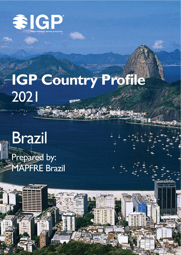

# **IGP Country Profile** 2021

**Brazil** Prepared by: **MAPFRE Brazil**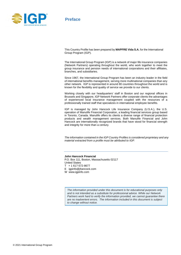

# **Preface**

This Country Profile has been prepared by **MAPFRE Vida S.A.** for the International Group Program (IGP).

The International Group Program (IGP) is a network of major life insurance companies (Network Partners) operating throughout the world, who work together to meet the group insurance and pension needs of international corporations and their affiliates, branches, and subsidiaries.

Since 1967, the International Group Program has been an industry leader in the field of international benefits management, serving more multinational companies than any other network. IGP is represented in around 80 countries throughout the world and is known for the flexibility and quality of service we provide to our clients.

Working closely with our headquarters' staff in Boston and our regional offices in Brussels and Singapore, IGP Network Partners offer corporate clients the advantages of experienced local insurance management coupled with the resources of a professionally trained staff that specializes in international employee benefits.

IGP is managed by John Hancock Life Insurance Company (U.S.A.), the U.S. operation of Manulife Financial Corporation, a leading financial services group based in Toronto, Canada. Manulife offers its clients a diverse range of financial protection products and wealth management services. Both Manulife Financial and John Hancock are internationally recognized brands that have stood for financial strength and integrity for more than a century.

*The information contained in the IGP Country Profiles is considered proprietary and any material extracted from a profile must be attributed to IGP.*

#### **John Hancock Financial**

P.O. Box 111, Boston, Massachusetts 02117 United States T + 1 617-572-8677 E igpinfo@jhancock.com

W www.igpinfo.com

*The information provided under this document is for educational purposes only and is not intended as a substitute for professional advice. While our Network Partners work hard to verify the information provided, we cannot guarantee there are no inadvertent errors. The information included in this document is subject to change without notice.*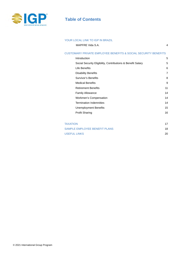

# **Table of Contents**

#### YOUR LOCAL LINK TO IGP IN BRAZIL

MAPFRE Vida S.A. 4

#### CUSTOMARY PRIVATE EMPLOYEE BENEFITS & SOCIAL SECURITY BENEFITS

| Introduction                                                | 5  |
|-------------------------------------------------------------|----|
| Social Security Eligibility, Contributions & Benefit Salary | 5  |
| Life Benefits                                               | 6  |
| <b>Disability Benefits</b>                                  | 7  |
| <b>Survivor's Benefits</b>                                  | 8  |
| <b>Medical Benefits</b>                                     | 9  |
| <b>Retirement Benefits</b>                                  | 11 |
| <b>Family Allowance</b>                                     | 14 |
| Workmen's Compensation                                      | 14 |
| <b>Termination Indemnities</b>                              | 14 |
| Unemployment Benefits                                       | 15 |
| <b>Profit Sharing</b>                                       | 16 |
|                                                             |    |

| <b>TAXATION</b>               |           |
|-------------------------------|-----------|
| SAMPLE EMPLOYEE BENEFIT PLANS | 18        |
| <b>USEFUL LINKS</b>           | <b>20</b> |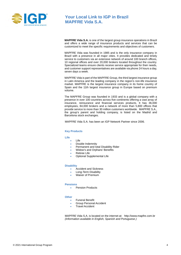

# **Your Local Link to IGP in Brazil MAPFRE Vida S.A.**

**MAPFRE Vida S.A.** is one of the largest group insurance operations in Brazil and offers a wide range of insurance products and services that can be customized to meet the specific requirements and objectives of customers.

MAPFRE Vida was founded in 1985 and is the only insurance company in Brazil with a presence in all major cities. It provides dedicated and timely service to customers via an extensive network of around 100 branch offices, 10 regional offices and over 20,000 brokers located throughout the country. Specialized teams ensure clients receive service appropriate for their needs, and customer support representatives are available via phone 24 hours a day, seven days a week.

MAPFRE Vida is part of the MAPFRE Group, the third largest insurance group in Latin America and the leading company in the region's non-life insurance market. MAPFRE is the largest insurance company in its home country of Spain and the 11th largest insurance group in Europe based on premium volume.

The MAPFRE Group was founded in 1933 and is a global company with a presence in over 100 countries across five continents offering a vast array of insurance, reinsurance and financial services products. It has 36,000 employees, 84,000 brokers and a network of more than 5,800 offices that provide service to more than 30 million customers worldwide. MAPFRE S.A., the group's parent and holding company, is listed on the Madrid and Barcelona stock exchanges.

MAPFRE Vida S.A. has been an IGP Network Partner since 2006.

#### **Key Products**

#### **Life**

- Life
- Double Indemnity
- Permanent and total Disability Rider
- Widow's and Orphans' Benefits
- **Retiree Life**
- Optional Supplemental Life

#### **Disability**

- Accident and Sickness
- Long-Term Disability
- Waiver of Premium

#### **Pensions**

Pension Products

#### **Other**

- Funeral Benefit
- Group Personal Accident
- **Travel Accident**

MAPFRE Vida S.A. is located on the internet at: [http://www.mapfre.com.br](http://www.mapfre.com.br/) *(Information available in English, Spanish and Portuguese.)*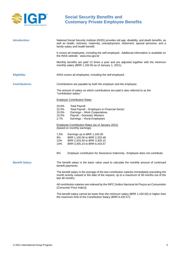

<span id="page-4-0"></span>

| Introduction:          | National Social Security Institute (INSS) provides old age, disability, and death benefits, as<br>well as health, sickness, maternity, unemployment, retirement, special pensions, and a<br>family salary and health benefit. |
|------------------------|-------------------------------------------------------------------------------------------------------------------------------------------------------------------------------------------------------------------------------|
|                        | It covers all employees, including the self-employed. Additional information is available on<br>the INSS website: www.inss.gov.br                                                                                             |
|                        | Monthly benefits are paid 13 times a year and are adjusted together with the minimum<br>monthly salary (BRR 1,100.00 as of January 1, 2021).                                                                                  |
| <b>Eligibility:</b>    | INSS covers all employees, including the self-employed.                                                                                                                                                                       |
| <b>Contributions:</b>  | Contributions are payable by both the employer and the employee.                                                                                                                                                              |
|                        | The amount of salary on which contributions are paid is also referred to as the<br>"contribution salary."                                                                                                                     |
|                        | <b>Employer Contribution Rates</b>                                                                                                                                                                                            |
|                        | 20.0%<br><b>Total Payroll</b><br>22.5%<br>Total Payroll - Employers in Financial Sector<br>15.0%<br>Earnings - Work Cooperatives<br>15.5%<br>Payroll - Domestic Workers<br>$2.7\%$<br>Earnings - Rural Employees              |
|                        | <b>Employee Contribution Rates (as of January 2021)</b><br>(based on monthly earnings)                                                                                                                                        |
|                        | 7,5%<br>Earnings up to BRR 1,100.00<br>9%<br>BRR 1,100.00 to BRR 2,203.48<br>12%<br>BRR 2,203.49 to BRR 3,305.22<br>14%<br>BRR 3,305.23 to BRR 6,433.57                                                                       |
|                        | 8%<br>Employer contribution for Severance Indemnity. Employee does not contribute.                                                                                                                                            |
| <b>Benefit Salary:</b> | The benefit salary is the basic value used to calculate the monthly amount of continued<br>benefit payments.                                                                                                                  |
|                        | The benefit salary is the average of the last contribution salaries immediately preceding the<br>month activity ceased or the date of the request, up to a maximum of 36 months out of the<br>last 48 months.                 |
|                        | All contribution salaries are indexed by the INPC (Indice Nacional de Preços ao Consumidor<br>(Consumer Price Index)).                                                                                                        |
|                        | The benefit salary cannot be lower than the minimum salary (BRR 1,100.00) or higher than<br>the maximum limit of the Contribution Salary (BRR 6,433.57).                                                                      |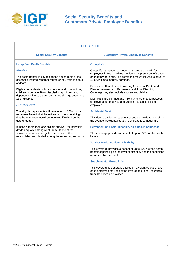

| <b>LIFE BENEFITS</b>                                                                                                                                                                                                            |                                                                                                                                                                                                                                               |  |
|---------------------------------------------------------------------------------------------------------------------------------------------------------------------------------------------------------------------------------|-----------------------------------------------------------------------------------------------------------------------------------------------------------------------------------------------------------------------------------------------|--|
| <b>Social Security Benefits</b>                                                                                                                                                                                                 | <b>Customary Private Employee Benefits</b>                                                                                                                                                                                                    |  |
| <b>Lump Sum Death Benefits</b>                                                                                                                                                                                                  | <b>Group Life</b>                                                                                                                                                                                                                             |  |
| Eligibility<br>The death benefit is payable to the dependents of the<br>deceased insured, whether retired or not, from the date<br>of death.                                                                                    | Group life insurance has become a standard benefit for<br>employees in Brazil. Plans provide a lump-sum benefit based<br>on monthly earnings. The common amount insured is equal to<br>18 or 24 times monthly earnings.                       |  |
| Eligible dependents include spouses and companions,<br>children under age 18 or disabled, stepchildren and<br>dependent minors, parent, unmarried siblings under age<br>18 or disabled.<br><b>Benefit Amount</b>                | Riders are often attached covering Accidental Death and<br>Dismemberment, and Permanent and Total Disability.<br>Coverage may also include spouse and children.                                                                               |  |
|                                                                                                                                                                                                                                 | Most plans are contributory. Premiums are shared between<br>employer and employee and are tax-deductible for the<br>employer.                                                                                                                 |  |
| The eligible dependents will receive up to 100% of the<br>retirement benefit that the retiree had been receiving or<br>that the employee would be receiving if retired on the<br>date of death.                                 | <b>Accidental Death</b><br>This rider provides for payment of double the death benefit in<br>the event of accidental death. Coverage is without limit.                                                                                        |  |
| If there is more than one eligible survivor, the benefit is<br>divided equally among all of them. If one of the<br>survivors becomes ineligible, the benefit is then<br>recalculated and divided among the remaining survivors. | <b>Permanent and Total Disability as a Result of Illness:</b><br>This coverage provides a benefit of up to 100% of the death<br>benefit.                                                                                                      |  |
|                                                                                                                                                                                                                                 | <b>Total or Partial Accident Disability:</b><br>This coverage provides a benefit of up to 200% of the death<br>benefit depending on the level of disability and the conditions<br>requested by the client.<br><b>Supplemental Group Life:</b> |  |
|                                                                                                                                                                                                                                 | This coverage is generally offered on a voluntary basis, and<br>each employee may select the level of additional insurance<br>from the schedule provided.                                                                                     |  |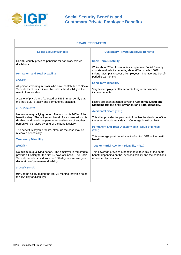

| <b>DISABILITY BENEFITS</b>                                                                                                                                                                                                                                                                                                                                                                                                                                                                                                                                         |                                                                                                                                                                                                                                                                                                                                                                                                                                                                                                                                                                                |  |
|--------------------------------------------------------------------------------------------------------------------------------------------------------------------------------------------------------------------------------------------------------------------------------------------------------------------------------------------------------------------------------------------------------------------------------------------------------------------------------------------------------------------------------------------------------------------|--------------------------------------------------------------------------------------------------------------------------------------------------------------------------------------------------------------------------------------------------------------------------------------------------------------------------------------------------------------------------------------------------------------------------------------------------------------------------------------------------------------------------------------------------------------------------------|--|
| <b>Social Security Benefits</b>                                                                                                                                                                                                                                                                                                                                                                                                                                                                                                                                    | <b>Customary Private Employee Benefits</b>                                                                                                                                                                                                                                                                                                                                                                                                                                                                                                                                     |  |
| Social Security provides pensions for non-work-related<br>disabilities.<br><b>Permanent and Total Disability</b><br>Eligibility<br>All persons working in Brazil who have contributed to Social<br>Security for at least 12 months unless the disability is the<br>result of an accident.<br>A panel of physicians (selected by INSS) must certify that<br>the individual is totally and permanently disabled.<br><b>Benefit Amount</b><br>No minimum qualifying period. The amount is 100% of the<br>benefit salary. The retirement benefit for an insured who is | <b>Short-Term Disability</b><br>While about 70% of companies supplement Social Security<br>short-term disability benefits, about 68% provide 100% of<br>salary. Most plans cover all employees. The average benefit<br>period is 11 months.<br><b>Long-Term Disability</b><br>Very few employers offer separate long-term disability<br>income benefits.<br>Riders are often attached covering Accidental Death and<br>Dismemberment, and Permanent and Total Disability.<br><b>Accidental Death (rider)</b><br>This rider provides for payment of double the death benefit in |  |
| disabled and needs the permanent assistance of another<br>person will be raised by 25% of the benefit salary.<br>The benefit is payable for life, although the case may be<br>reviewed periodically.<br><b>Temporary Disability:</b>                                                                                                                                                                                                                                                                                                                               | the event of accidental death. Coverage is without limit.<br><b>Permanent and Total Disability as a Result of Illness</b><br>(rider)<br>This coverage provides a benefit of up to 100% of the death<br>benefit.                                                                                                                                                                                                                                                                                                                                                                |  |
| Eligibility                                                                                                                                                                                                                                                                                                                                                                                                                                                                                                                                                        | <b>Total or Partial Accident Disability (rider)</b>                                                                                                                                                                                                                                                                                                                                                                                                                                                                                                                            |  |
| No minimum qualifying period. The employer is required to<br>provide full salary for the first 15 days of illness. The Social<br>Security benefit is paid from the 16th day until recovery or<br>declaration of permanent disability.                                                                                                                                                                                                                                                                                                                              | This coverage provides a benefit of up to 200% of the death<br>benefit depending on the level of disability and the conditions<br>requested by the client.                                                                                                                                                                                                                                                                                                                                                                                                                     |  |
| <b>Monthly Benefit</b>                                                                                                                                                                                                                                                                                                                                                                                                                                                                                                                                             |                                                                                                                                                                                                                                                                                                                                                                                                                                                                                                                                                                                |  |
| 91% of the salary during the last 36 months (payable as of<br>the 16 <sup>th</sup> day of disability).                                                                                                                                                                                                                                                                                                                                                                                                                                                             |                                                                                                                                                                                                                                                                                                                                                                                                                                                                                                                                                                                |  |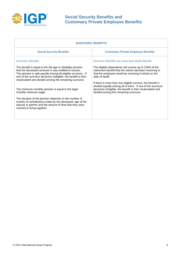

| <b>Customary Private Employee Benefits</b><br><b>Social Security Benefits</b><br><b>Survivors' Benefits</b><br>Survivors' Benefits via Lump Sum Death Benefit                                                                                                                                                                                                                                                                                                                                                                                                                                                                                                                                                                                                                                                                                                                                                              | <b>SURVIVORS' BENEFITS</b>                                |                                                        |  |
|----------------------------------------------------------------------------------------------------------------------------------------------------------------------------------------------------------------------------------------------------------------------------------------------------------------------------------------------------------------------------------------------------------------------------------------------------------------------------------------------------------------------------------------------------------------------------------------------------------------------------------------------------------------------------------------------------------------------------------------------------------------------------------------------------------------------------------------------------------------------------------------------------------------------------|-----------------------------------------------------------|--------------------------------------------------------|--|
|                                                                                                                                                                                                                                                                                                                                                                                                                                                                                                                                                                                                                                                                                                                                                                                                                                                                                                                            |                                                           |                                                        |  |
| that the deceased received or was entitled to receive.<br>retirement benefit that the retiree had been receiving or<br>that the employee would be receiving if retired on the<br>The pension is split equally among all eligible survivors. If<br>one of the survivors becomes ineligible, the benefit is then<br>date of death.<br>recalculated and divided among the remaining survivors.<br>If there is more than one eligible survivor, the benefit is<br>divided equally among all of them. If one of the survivors<br>becomes ineligible, the benefit is then recalculated and<br>The minimum monthly pension is equal to the legal<br>divided among the remaining survivors.<br>monthly minimum wage.<br>The duration of the pension depends on the number of<br>months of contributions made by the deceased, age of the<br>spouse or partner and the amount of time that they were<br>married or living together. | The benefit is equal to the old-age or disability pension | The eligible dependents will receive up to 100% of the |  |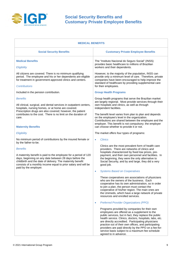

| <b>MEDICAL BENEFITS</b>                                                                                                                                                                                                                                                                                                                                                                                                                                                                                                                                                                                                          |                                                                                                                                                                                                                                                                                                                                                                                                                                                                                                                                                                                                                                                                                                                                                                                                                                                                                                                                                                                                                                                                                                                                                                                                                                                                                                                   |  |
|----------------------------------------------------------------------------------------------------------------------------------------------------------------------------------------------------------------------------------------------------------------------------------------------------------------------------------------------------------------------------------------------------------------------------------------------------------------------------------------------------------------------------------------------------------------------------------------------------------------------------------|-------------------------------------------------------------------------------------------------------------------------------------------------------------------------------------------------------------------------------------------------------------------------------------------------------------------------------------------------------------------------------------------------------------------------------------------------------------------------------------------------------------------------------------------------------------------------------------------------------------------------------------------------------------------------------------------------------------------------------------------------------------------------------------------------------------------------------------------------------------------------------------------------------------------------------------------------------------------------------------------------------------------------------------------------------------------------------------------------------------------------------------------------------------------------------------------------------------------------------------------------------------------------------------------------------------------|--|
| <b>Social Security Benefits</b>                                                                                                                                                                                                                                                                                                                                                                                                                                                                                                                                                                                                  | <b>Customary Private Employee Benefits</b>                                                                                                                                                                                                                                                                                                                                                                                                                                                                                                                                                                                                                                                                                                                                                                                                                                                                                                                                                                                                                                                                                                                                                                                                                                                                        |  |
| <b>Medical Benefits</b><br>Eligibility<br>All citizens are covered. There is no minimum qualifying<br>period. The employee and his or her dependents are eligible<br>for treatment in government-approved clinics and centers.<br><b>Contributions</b><br>Included in the pension contribution.<br><b>Benefits</b><br>All clinical, surgical, and dental services in outpatient centers,<br>hospitals, nursing homes, or at home are covered.<br>Prescription drugs are also covered; however, the patient<br>contributes to the cost. There is no limit on the duration of<br>care.<br><b>Maternity Benefits</b><br>Eligibility | The "Instituto Nacional do Seguro Social" (INSS)<br>provides basic healthcare to millions of Brazilian<br>workers and their dependents.<br>However, to the majority of the population, INSS can<br>provide only a minimum level of care. Therefore, private<br>companies have been encouraged to help improve the<br>standard of healthcare by providing supplemental care<br>for their employees.<br><b>Group Health Programs</b><br>Group health programs that serve the Brazilian market<br>are largely regional. Most provide services through their<br>own hospitals and clinics, as well as through<br>independent facilities.<br>The benefit level varies from plan to plan and depends<br>on the employee's level in the organization.<br>Contributions are shared between the employee and the<br>employer. This benefit is not compulsory; the employer<br>can choose whether to provide it or not.<br>The market offers four types of programs:                                                                                                                                                                                                                                                                                                                                                        |  |
| No minimum period of contributions by the insured female or<br>by the father-to-be.<br><b>Benefits</b><br>A maternity benefit is paid to the employee for a period of 120<br>days, beginning on any date between 28 days before the<br>childbirth and the date of delivery. The maternity benefit<br>consists of a monthly income equal to prior salary and will be<br>paid by the employer.                                                                                                                                                                                                                                     | <b>Clinics</b><br>$\bullet$<br>Clinics are the most prevalent form of health care<br>providers. There are networks of clinics and<br>hospitals characterized by fixed low prices, pre-<br>payment, and their own personnel and facilities. In<br>the beginning, they were the only alternative to<br>Social Security, and by and large, they did a very<br>good job.<br><b>Systems Based on Cooperatives</b><br>$\bullet$<br>These cooperatives are associations of physicians<br>who are the owners of the business. Each<br>cooperative has its own administration, so in order<br>to join a plan, the person must contact the<br>cooperative of his/her region. The main ones are<br>the Unimeds, which have a large network of private<br>resources and enrolled services.<br><b>Preferred Provider Organizations (PPO)</b><br>$\bullet$<br>Programs provided by companies for their own<br>employees are offered as a supplement to the<br>public services, but in fact, they replace the public<br>health service. Clinics, doctors, hospitals, labs, etc.<br>are directly accredited. Participating physicians<br>practice out of their own offices, and participating<br>providers are paid directly by the PPO on a fee-for-<br>service basis subject to a maximum fee schedule<br>agreed to in advance. |  |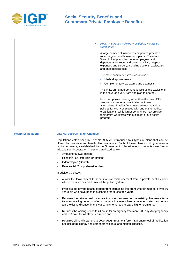

| Health Insurance Policies Provided by Insurance<br>$\bullet$<br><b>Companies</b>                                                                                                                                                                                                                                                   |
|------------------------------------------------------------------------------------------------------------------------------------------------------------------------------------------------------------------------------------------------------------------------------------------------------------------------------------|
| A large number of insurance companies provide a<br>wide range of health insurance plans. These are<br>"free choice" plans that cover employees and<br>dependents for room and board, auxiliary hospital<br>expenses and surgery, including doctor's, assistant's,<br>and anesthetist's fees.                                       |
| The more comprehensive plans include:                                                                                                                                                                                                                                                                                              |
| Medical appointments                                                                                                                                                                                                                                                                                                               |
| Complementary lab exams and diagnosis                                                                                                                                                                                                                                                                                              |
| The limits on reimbursement as well as the exclusions<br>in the coverage vary from one plan to another.                                                                                                                                                                                                                            |
| Most companies desiring more than the basic INSS<br>service use one or a combination of these<br>alternatives. Smaller firms may take out individual<br>policies for every employee with one of the medical<br>organizations, while larger companies may provide<br>their entire workforce with a blanket group health<br>program. |
|                                                                                                                                                                                                                                                                                                                                    |

#### **Health Legislation: Law No. 9656/98 - Main Changes:**

Regulations established by Law No. 9656/98 introduced four types of plans that can be offered by insurance and health plan companies. Each of these plans should guarantee a minimum coverage established by the Government. Nevertheless, companies are free to add additional coverage. The plans are listed below:

- Ambulatorial (Out-patient)
- Hospitalar c/Obstetrícia (In-patient)
- Odontológico (Dental)
- Referencial (Comprehensive plan)

In addition, the Law:

- Allows the Government to seek financial reimbursement from a private health carrier whose member has made use of the public system;
- Prohibits the private health carriers from increasing the premiums for members over 60 years old who have been in a scheme for at least ten years;
- Requires the private health carriers to cover treatment for pre-existing illnesses after a two-year waiting period or after six months in cases where a member states he/she has a pre-existing disease (in this case, he/she agrees to pay a higher premium);
- Reduces the waiting period to 24 hours for emergency treatment, 300 days for pregnancy and 180 days for all other treatment; and
- Requires all health carriers to cover AIDS treatment (pre-AIDS antiretroviral medication not included), kidney and cornea transplants, and mental illnesses.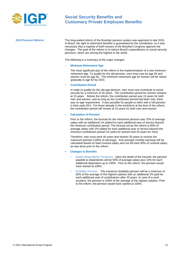

**2019 Pension Reform:** The long-waited reform of the Brazilian pension system was approved in late 2019. In Brazil, the right to retirement benefits is guaranteed by the constitution, so it was necessary that a majority of both houses of the Brazilian Congress approve the changes. The goal of the reform is to reduce Brazil's expenditures on social security pensions, which are among the highest in the world.

The following is a summary of the major changes:

#### **• Minimum Retirement Age**

The most significant part of the reform is the implementation of a new minimum retirement age. To qualify for the old-pension, men must now be age 65 and women must be age 60. The minimum retirement age for women will be raised gradually to age 62 by 2023.

#### **• Contribution Period**

In order to qualify for the old-age pension, men must now contribute to social security for a minimum of 20 years. The contribution period for women remains at 15 years. Before the reform, the contribution period was 15 years for both men and women, and as long as the contribution period had been met, there was no age requirement. It was possible for people to retire with a full pension in their early 50's. For those already in the workforce at the time of the reform, the contribution period will remain at 15 years for both men and women.

#### **• Calculation of Pension**

Prior to the reform, the formula for the retirement pension was 70% of average salary with an additional 1% added for each additional year of service beyond the minimum contribution period. The formula set by the reform is 60% of average salary with 2% added for each additional year of service beyond the minimum contribution period (15 years for women and 20 years for men).

Therefore, men must work 40 years and women 35 years to receive the maximum pension (100% of earnings). And average monthly earnings will be calculated based on total covered salary and not the best 80% of covered salary as was done prior to the reform.

#### **• Changes to Benefits**

- Death (Dependents' Pensions): Upon the death of the insured, the pension payable to dependents will be 50% of average salary plus 10% for each additional dependent up to 100%. Prior to the reform, the pension would have started at 100%.
- Disability Pension: The maximum disability pension will be a minimum of 60% of the average of the highest salaries with an additional 2% paid for each additional year of contributions after 20 years. In case of a work accident, the pension is 100% of the average of the highest salaries. Prior to the reform, the pension would have started at 100%.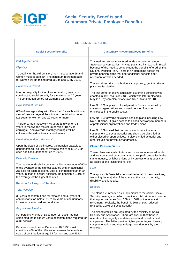

| <b>RETIREMENT BENEFITS</b>                                                                                                                                          |                                                                                                                                                                                                                                                                                                              |  |
|---------------------------------------------------------------------------------------------------------------------------------------------------------------------|--------------------------------------------------------------------------------------------------------------------------------------------------------------------------------------------------------------------------------------------------------------------------------------------------------------|--|
| <b>Social Security Benefits</b>                                                                                                                                     | <b>Customary Private Employee Benefits</b>                                                                                                                                                                                                                                                                   |  |
| <b>Old Age Pension:</b>                                                                                                                                             | Trusteed and self-administered funds are common among                                                                                                                                                                                                                                                        |  |
| Eligibility                                                                                                                                                         | State-owned companies. Private plans are increasing in Brazil<br>because of the need to complement the benefits offered by the                                                                                                                                                                               |  |
| To qualify for the old-pension, men must be age 65 and<br>women must be age 60. The minimum retirement age<br>for women will be raised gradually to age 62 by 2023. | National Pension Plan. There is an increasing search for<br>private pension plans that offer additional benefits after<br>retirement or when needed.                                                                                                                                                         |  |
| <b>Contribution Period</b>                                                                                                                                          | The social security contribution is compulsory, yet the private<br>plans are facultative.                                                                                                                                                                                                                    |  |
| In order to qualify for the old-age pension, men must<br>contribute to social security for a minimum of 20 years.<br>The contribution period for women is 15 years. | The first comprehensive legislation governing pensions was<br>enacted in 1977 via Law 6.435, which was later replaced in<br>May 2011 by complementary laws No. 108 and No. 109.                                                                                                                              |  |
| <b>Calculation of Pension</b><br>60% of average salary with 2% added for each additional                                                                            | Law No. 108 applies to closed pension funds sponsored by<br>state-run organizations and closed pension funds for<br>employees in the public sector.                                                                                                                                                          |  |
| year of service beyond the minimum contribution period<br>(15 years for women and 20 years for men).                                                                | Law No. 109 governs all closed pension plans including Law                                                                                                                                                                                                                                                   |  |
| Therefore, men must work 40 years and women 35<br>years to receive the maximum pension (100% of                                                                     | No. 108 plans. It gives access to closed pensions to members<br>of professional organizations and trade unions.                                                                                                                                                                                              |  |
| earnings). And average monthly earnings will be<br>calculated based on total covered salary.                                                                        | Law No. 109 stated that pensions should function as a<br>complement to Social Security and should be classified as                                                                                                                                                                                           |  |
| <b>Death (Dependents' Pensions)</b>                                                                                                                                 | either closed or open entities. It also clarified actuarial and<br>other issues not previously addressed.                                                                                                                                                                                                    |  |
| Upon the death of the insured, the pension payable to<br>dependents will be 50% of average salary plus 10% for                                                      | <b>Closed Pension Funds</b>                                                                                                                                                                                                                                                                                  |  |
| each additional dependent up to 100%.                                                                                                                               | These plans are similar to trusteed or self-administered funds<br>and are sponsored by a company or group of companies in the                                                                                                                                                                                |  |
| <b>Disability Pension</b>                                                                                                                                           | same industry, by labor unions or by professional groups such<br>as associations, class unions, etc.                                                                                                                                                                                                         |  |
| The maximum disability pension will be a minimum of 60%<br>of the average of the highest salaries with an additional                                                | Cost                                                                                                                                                                                                                                                                                                         |  |
| 2% paid for each additional year of contributions after 20<br>years. In case of a work accident, the pension is 100% of<br>the average of the highest salaries.     | The sponsor is financially responsible for all of the operations,<br>assuming the majority of the cost and the risk of mortality,<br>disability, and longevity.                                                                                                                                              |  |
| <b>Pension for Length of Service:</b>                                                                                                                               | <b>Benefits</b>                                                                                                                                                                                                                                                                                              |  |
| <b>Total Pension</b>                                                                                                                                                | The plans are intended as supplements to the official Social                                                                                                                                                                                                                                                 |  |
| 35 years of contributions for females and 40 years of<br>contributions for males. 10 to 15 years of contributions<br>for workers in hazardous conditions.           | Security coverage in order to provide a total retirement income<br>that in practice varies from 50% to 100% of the salary at<br>retirement. Typically, the benefit is 60% of pay, reduced<br>(offset) by 100% of Social Security.                                                                            |  |
| <b>Proportional Pension</b>                                                                                                                                         |                                                                                                                                                                                                                                                                                                              |  |
| For persons who as of December 16, 1998 had not<br>completed the minimum years of contributions required for<br>a full pension.                                     | The closed entities are regulated by the Ministry of Social<br>Security and Assistance. There are over 350 of these in<br>operation; the majority are state-owned and mixed capital<br>companies. The latter provide higher percentages of salary<br>complementation and require larger contributions by the |  |
| Persons insured before December 16, 1998 must<br>contribute 40% of the difference between the mandated                                                              | employer.                                                                                                                                                                                                                                                                                                    |  |

years of contribution at age 53 for men and age 45 for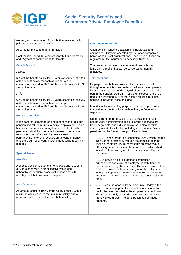

women, and the number of contribution years actually paid as of December 16, 1998.

Age: 53 for males and 45 for females.

Contribution Period: 30 years of contributions for males and 25 years of contributions for females.

#### *Benefit Amount:*

#### *Female*

60% of the benefit salary for 15 years of service, plus 2% of the benefit salary for each additional year of contribution, limited to 100% of the benefit salary after 35 years of service.

#### *Male*

60% of the benefit salary for 20 years of service, plus 2% of the benefit salary for each additional year of contribution, limited to 100% of the benefit salary after 40 years of service.

#### **Return to Service:**

In the case of retirement for length of service or old age pension, if a retiree returns to active employment, his or her pension continues during that period. If retired by permanent disability, the benefit ceases if the person returns to work. When employment ceases permanently, he or she receives an amount of money that is the sum of all contributions made while receiving benefits.

#### **Special Pension:**

#### *Eligibility*

A special pension is due to an employee after 20, 25, or 30 years of service in an excessively fatiguing, unhealthy, or dangerous occupation if at least 240 monthly contributions have been paid.

#### *Benefit Amount*

An amount equal to 100% of the salary benefit, with a minimum value equal to the minimum salary, and a maximum limit equal to the contribution salary.

#### **Open Pension Funds**

Open pension funds are available to individuals and companies. They are operated by insurance companies, banks or non-profit organizations. Open pension funds are regulated by the Insurance Supervisory Authority.

The products marketed include monthly annuities and lump-sum benefits that can be converted to monthly annuities.

#### *Tax Treatment*

Employer contributions provided for retirement benefits through open entities can be deducted from the employer's income tax up to 20% of the payroll of employees that take part in the pension program. For the employees, there is a deduction limited to 12% of the income tax (this rule also applies to individual pension plans).

In addition, for accounting purposes, the employer is allowed to consider all contributions, without limit, as "operating expenses."

Under current open-entity plans, up to 30% of the total contribution, administration and brokerage expenses are freely negotiable, and a dividend clause is also possible covering results for all risks, including investments. Private pensions can be funded through different plans:

- PGBL (Plano Gerador de Benefícios Livre), which returns 100% of net profitability through the administration of financial portfolios. PGBL represents an active way of attracting participants, mainly because of its diversified investment portfolio, given the risk is assumed by the customer.
- PGBLs provide a flexible defined contribution arrangement consisting of employee contributions that can be matched by the employer. The administrator of the PGBL is chosen by the employer, who also selects the investment options. A PGBL has a more favorable tax treatment of its investment earnings than does a closed fund.
- VGBL (Vida Gerador de Beneficios Livre); today is the one of the most popular funds, for it was made to the public that are classified in the simplest tax contribution. The taxes are only due to the income share when the money is withdrawn. The contribution can be made randomly.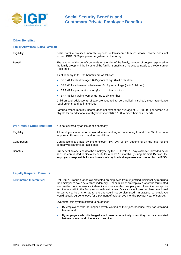

#### **Other Benefits:**

#### **Family Allowance (Bolsa Família):**

| Eligibility:                   | Bolsa Família provides monthly stipends to low-income families whose income does not<br>exceed BRR 89.00 per person registered in the family.                                                                                                                                                |  |
|--------------------------------|----------------------------------------------------------------------------------------------------------------------------------------------------------------------------------------------------------------------------------------------------------------------------------------------|--|
| Benefit:                       | The amount of the benefit depends on the size of the family, number of people registered in<br>the family group and the income of the family. Benefits are indexed annually to the Consumer<br>Price Index.                                                                                  |  |
|                                | As of January 2020, the benefits are as follows:                                                                                                                                                                                                                                             |  |
|                                | • BRR 41 for children aged 0-15 years of age (limit 5 children)                                                                                                                                                                                                                              |  |
|                                | BRR 48 for adolescents between 16-17 years of age (limit 2 children)<br>$\bullet$                                                                                                                                                                                                            |  |
|                                | • BRR 41 for pregnant women (for up to nine months)                                                                                                                                                                                                                                          |  |
|                                | • BRR 41 for nursing women (for up to six months)                                                                                                                                                                                                                                            |  |
|                                | Children and adolescents of age are required to be enrolled in school, meet attendance<br>requirements, and be immunized.                                                                                                                                                                    |  |
|                                | Families whose monthly income does not exceed the average of BRR 89.00 per person are<br>eligible for an additional monthly benefit of BRR 89.00 to meet their basic needs.                                                                                                                  |  |
| <b>Workmen's Compensation:</b> | It is not covered by an insurance company.                                                                                                                                                                                                                                                   |  |
| Eligibility:                   | All employees who become injured while working or commuting to and from Work, or who<br>acquire an illness due to working conditions.                                                                                                                                                        |  |
| Contribution:                  | Contributions are paid by the employer: 1%, 2%, or 3% depending on the level of the<br>company's risk for labor accidents.                                                                                                                                                                   |  |
| Benefits:                      | Full benefit salary is paid to the employee by the INSS after 15 days of leave, provided he or<br>she has contributed to Social Security for at least 12 months. (During the first 15 days, the<br>employer is responsible for employee's salary). Medical expenses are covered by the INSS. |  |

#### **Legally Required Benefits:**

**Termination Indemnities:** Until 1967, Brazilian labor law protected an employee from unjustified dismissal by requiring the employer to pay a severance indemnity. Under this law, an employee who was terminated was entitled to a severance indemnity of one month's pay per year of service, except for terminations within the first year or with just cause. Once an employee had been employed for ten years, he or she had tenure and could not be dismissed. In practice, an employee would usually agree to leave for a payment of at least two months' pay per year of service.

Over time, this system started to be abused:

- By employees who no longer actively worked at their jobs because they had obtained tenure; and
- By employers who discharged employees automatically when they had accumulated between seven and nine years of service.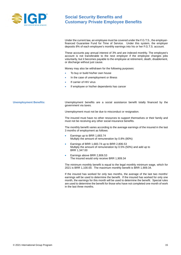

Under the current law, an employee must be covered under the F.G.T.S., the employerfinanced Guarantee Fund for Time of Service. Under this system, the employer deposits 8% of each employee's monthly earnings into his or her F.G.T.S. account.

These accounts pay annual interest of 3% and are indexed monthly. The employee's account is not transferable to the next employer if the employee changes jobs voluntarily, but it becomes payable to the employee at retirement, death, disablement, or discharge without just cause.

Money may also be withdrawn for the following purposes:

- To buy or build his/her own house
- In the case of unemployment or illness
- If carrier of HIV virus
- If employee or his/her dependents has cancer

**Unemployment Benefits:** Unemployment benefits are a social assistance benefit totally financed by the government via taxes.

Unemployment must not be due to misconduct or resignation.

The insured must have no other resources to support themselves or their family and must not be receiving any other social insurance benefits.

The monthly benefit varies according to the average earnings of the insured in the last 3 months of employment as follows:

- Earnings up to BRR 1,683.74 Multiply the amount of remuneration by 0.8% (80%)
- Earnings of BRR 1,683.74 up to BRR 2,806.53 Multiply the amount of remuneration by 0.5% (50%) and add up to BRR 1,347.00
- Earnings above BRR 2,806.53 The insured would only receive BRR 1,909.34

The minimum monthly benefit is equal to the legal monthly minimum wage, which for 2021 is BRR 1,100.00. The maximum monthly benefit is BRR 1,909.34.

If the insured has worked for only two months, the average of the last two months' earnings will be used to determine the benefit. If the insured has worked for only one month, the earnings for this month will be used to determine the benefit. Special rules are used to determine the benefit for those who have not completed one month of work in the last three months.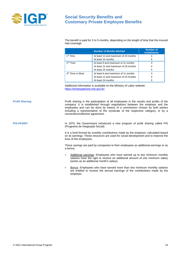

The benefit is paid for 3 to 5 months, depending on the length of time that the insured had coverage.

|                              | <b>Number of Months Worked</b>       | <b>Number of</b><br><b>Installments</b> |
|------------------------------|--------------------------------------|-----------------------------------------|
| 1 <sup>st</sup> Time         | At least 12 and maximum of 23 months | 4                                       |
|                              | At least 24 months                   | 5                                       |
| 2 <sup>nd</sup> Time         | At least 9 and maximum of 11 months  | 3                                       |
|                              | At least 12 and maximum of 23 months |                                         |
|                              | At least 24 months                   | 5                                       |
| 3 <sup>rd</sup> Time or More | At least 6 and maximum of 11 months  | 3                                       |
|                              | At least 12 and maximum of 23 months |                                         |
|                              | At least 24 months                   | 5                                       |

Additional information is available on the Ministry of Labor website: <https://empregabrasil.mte.gov.br/>

**Profit Sharing:** Profit sharing is the participation of all employees in the results and profits of the company. It is established through negotiations between the employer and the employees and can be done by means of a commission chosen by both parties including a representative of the syndicate of the respective category, or by a convention/collective agreement.

**PIS-PASEP:** In 1970, the Government introduced a new program of profit sharing called PIS (Programa de Integração Social).

> It is a fund formed by monthly contributions made by the employer, calculated based on its earnings. These resources are used for social development and to improve the lives of the employees.

> These savings are paid by companies to their employees as additional earnings or as a bonus.

- Additional earnings: Employees who have earned up to two minimum monthly salaries have the right to receive an additional amount of one minimum salary (works as an additional month's salary).
- Bonus: Employees who have earned more than two minimum monthly salaries are entitled to receive the annual earnings of the contributions made by the employer.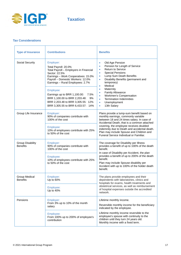

## **Tax Considerations**

| <b>Type of Insurance</b>                   | <b>Contributions</b>                                                                                                                                                                                                                                                                                                                                                               | <b>Benefits</b>                                                                                                                                                                                                                                                                                                                                                                                                                     |
|--------------------------------------------|------------------------------------------------------------------------------------------------------------------------------------------------------------------------------------------------------------------------------------------------------------------------------------------------------------------------------------------------------------------------------------|-------------------------------------------------------------------------------------------------------------------------------------------------------------------------------------------------------------------------------------------------------------------------------------------------------------------------------------------------------------------------------------------------------------------------------------|
| Social Security                            | Employer:<br>Total Payroll: 20.0%<br>Total Payroll - Employers in Financial<br>Sector: 22.5%<br>Earnings - Work Cooperatives: 15.0%<br>Payroll - Domestic Workers: 12.0%<br>Earnings - Rural Employees: 2.7%<br>Employee:<br>Earnings up to BRR 1,100.00:<br>7.5%<br>BRR 1,100.00 to BRR 2,203.48:<br>9%<br>BRR 2,203.48 to BRR 3,305.55: 12%<br>BRR 3,305.55 to BRR 6,433.57: 14% | Old Age Pension<br>Pension for Length of Service<br>۰<br><b>Return to Service</b><br>$\bullet$<br><b>Special Pensions</b><br>۰<br>Lump Sum Death Benefits<br>$\bullet$<br>Disability Benefits (permanent and<br>$\bullet$<br>temporary)<br>Medical<br>٠<br>Maternity<br>٠<br><b>Family Allowance</b><br>٠<br>Workmen's Compensation<br>$\bullet$<br><b>Termination Indemnities</b><br>Unemployment<br>$\bullet$<br>13th Salary<br>۰ |
| Group Life Insurance                       | Employer:<br>90% of companies contribute with<br>100% of the cost<br>Employee:<br>10% of employees contribute with 25%<br>to 50% of the cost                                                                                                                                                                                                                                       | Plans provide a lump-sum benefit based on<br>monthly earnings, commonly variable<br>between 18 and 24 times salary. In case of<br>Accidental Death, that is a common attached<br>covering, the employee receives doubled<br>indemnity due to Death and accidental death.<br>Plan may include Spouse and Children and<br>Funeral Service Individual or Familiar.                                                                     |
| <b>Group Disability</b><br><b>Benefits</b> | Employer:<br>90% of companies contribute with<br>100% of the cost<br>Employee:<br>10% of employees contribute with 25%<br>to 50% of the cost                                                                                                                                                                                                                                       | The coverage for Disability per Illness<br>provides a benefit of up to 100% of the death<br>benefit.<br>In case of Disability per Accident, the plan<br>provides a benefit of up to 200% of the death<br>benefit.<br>Plan may include Spouse disability per<br>Accident with up to 100% of the holder death<br>benefit.                                                                                                             |
| Group Medical<br>Benefits                  | Employer:<br>Up to 60%<br>Employee:<br>Up to 40%                                                                                                                                                                                                                                                                                                                                   | The plans provide employees and their<br>dependents with laboratories, clinics and<br>hospitals for exams, health treatments and<br>obstetrical services, as well as reimbursement<br>of hospital expenses outside the accredited<br>network.                                                                                                                                                                                       |
| Pensions                                   | Employer:<br>From 3% up to 10% of the month<br>salary<br>Employee:<br>From 100% up to 200% of employee's<br>contribution                                                                                                                                                                                                                                                           | Lifetime monthly income.<br>Reversible monthly income for the beneficiary<br>indicated by the employee.<br>Lifetime monthly income reversible to the<br>employee's spouse with continuity to the<br>children until they turn 24 years old.<br>Monthly income with a fixed term.                                                                                                                                                     |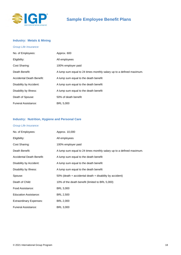

# **Sample Employee Benefit Plans**

### <span id="page-17-0"></span>**Industry: Metals & Mining**

| Group Life Insurance:     |                                                                      |
|---------------------------|----------------------------------------------------------------------|
| No. of Employees:         | Approx. 600                                                          |
| Eligibility:              | All employees                                                        |
| Cost Sharing:             | 100% employer paid                                                   |
| Death Benefit:            | A lump sum equal to 24 times monthly salary up to a defined maximum. |
| Accidental Death Benefit: | A lump sum equal to the death benefit                                |
| Disability by Accident:   | A lump sum equal to the death benefit                                |
| Disability by Illness:    | A lump sum equal to the death benefit                                |
| Death of Spouse:          | 50% of death benefit                                                 |
| Funeral Assistance:       | <b>BRL 5,000</b>                                                     |

### **Industry: Nutrition, Hygiene and Personal Care**

#### *Group Life Insurance:*

| No. of Employees:                | Approx. 10,000                                                       |
|----------------------------------|----------------------------------------------------------------------|
| Eligibility:                     | All employees                                                        |
| Cost Sharing:                    | 100% employer paid                                                   |
| Death Benefit:                   | A lump sum equal to 24 times monthly salary up to a defined maximum. |
| <b>Accidental Death Benefit:</b> | A lump sum equal to the death benefit                                |
| Disability by Accident:          | A lump sum equal to the death benefit                                |
| Disability by Illness:           | A lump sum equal to the death benefit                                |
| Spouse:                          | $50\%$ (death + accidental death + disability by accident)           |
| Death of Child:                  | 10% of the death benefit (limited to BRL 5,000)                      |
| Food Assistance:                 | <b>BRL 3,000</b>                                                     |
| <b>Education Assistance:</b>     | BRL 2,500                                                            |
| <b>Extraordinary Expenses:</b>   | BRL 2,000                                                            |
| <b>Funeral Assistance:</b>       | BRL 3,000                                                            |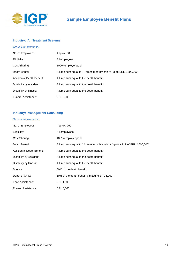

### **Industry: Air Treatment Systems**

#### *Group Life Insurance:*

| No. of Employees:          | Approx. 600                                                       |
|----------------------------|-------------------------------------------------------------------|
| Eligibility:               | All employees                                                     |
| Cost Sharing:              | 100% employer paid                                                |
| Death Benefit:             | A lump sum equal to 48 times monthly salary (up to BRL 1,500,000) |
| Accidental Death Benefit:  | A lump sum equal to the death benefit                             |
| Disability by Accident:    | A lump sum equal to the death benefit                             |
| Disability by Illness:     | A lump sum equal to the death benefit                             |
| <b>Funeral Assistance:</b> | <b>BRL 5,000</b>                                                  |

## **Industry: Management Consulting**

#### *Group Life Insurance:*

| No. of Employees:          | Approx. 250                                                                  |
|----------------------------|------------------------------------------------------------------------------|
| Eligibility:               | All employees                                                                |
| Cost Sharing:              | 100% employer paid                                                           |
| Death Benefit:             | A lump sum equal to 24 times monthly salary (up to a limit of BRL 2,000,000) |
| Accidental Death Benefit:  | A lump sum equal to the death benefit                                        |
| Disability by Accident:    | A lump sum equal to the death benefit                                        |
| Disability by Illness:     | A lump sum equal to the death benefit                                        |
| Spouse:                    | 50% of the death benefit                                                     |
| Death of Child:            | 10% of the death benefit (limited to BRL 5,000)                              |
| Food Assistance:           | <b>BRL 1,500</b>                                                             |
| <b>Funeral Assistance:</b> | <b>BRL 5,000</b>                                                             |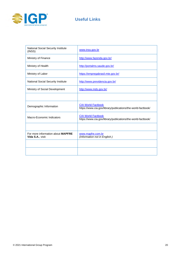

# **Useful Links**

| <b>National Social Security Institute</b><br>(INSS)           | www.inss.gov.br                                                                           |
|---------------------------------------------------------------|-------------------------------------------------------------------------------------------|
| Ministry of Finance                                           | http://www.fazenda.gov.br/                                                                |
| Ministry of Health                                            | http://portalms.saude.gov.br/                                                             |
| Ministry of Labor                                             | https://empregabrasil.mte.gov.br/                                                         |
| National Social Security Institute                            | http://www.previdencia.gov.br/                                                            |
| Ministry of Social Development                                | http://www.mds.gov.br/                                                                    |
|                                                               |                                                                                           |
| Demographic Information                                       | <b>CIA World Factbook</b><br>https://www.cia.gov/library/publications/the-world-factbook/ |
| Macro-Economic Indicators                                     | <b>CIA World Factbook</b><br>https://www.cia.gov/library/publications/the-world-factbook/ |
|                                                               |                                                                                           |
| For more information about <b>MAPFRE</b><br>Vida S.A., visit: | www.mapfre.com.br<br>(Information not in English.)                                        |
|                                                               |                                                                                           |
|                                                               |                                                                                           |